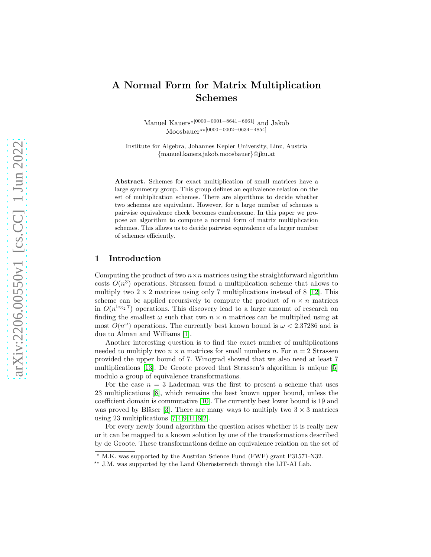# A Normal Form for Matrix Multiplication Schemes

Manuel Kauers<sup>\*[0000–0001–8641–6661]</sup> and Jakob Moosbauer<sup>★★[0000</sup>−0002−0634−4854]

Institute for Algebra, Johannes Kepler University, Linz, Austria {manuel.kauers,jakob.moosbauer}@jku.at

Abstract. Schemes for exact multiplication of small matrices have a large symmetry group. This group defines an equivalence relation on the set of multiplication schemes. There are algorithms to decide whether two schemes are equivalent. However, for a large number of schemes a pairwise equivalence check becomes cumbersome. In this paper we propose an algorithm to compute a normal form of matrix multiplication schemes. This allows us to decide pairwise equivalence of a larger number of schemes efficiently.

#### 1 Introduction

Computing the product of two  $n \times n$  matrices using the straightforward algorithm costs  $O(n^3)$  operations. Strassen found a multiplication scheme that allows to multiply two  $2 \times 2$  matrices using only 7 multiplications instead of 8 [\[12\]](#page-10-0). This scheme can be applied recursively to compute the product of  $n \times n$  matrices in  $O(n^{\log_2 7})$  operations. This discovery lead to a large amount of research on finding the smallest  $\omega$  such that two  $n \times n$  matrices can be multiplied using at most  $O(n^{\omega})$  operations. The currently best known bound is  $\omega < 2.37286$  and is due to Alman and Williams [\[1\]](#page-10-1).

Another interesting question is to find the exact number of multiplications needed to multiply two  $n \times n$  matrices for small numbers n. For  $n = 2$  Strassen provided the upper bound of 7. Winograd showed that we also need at least 7 multiplications [\[13\]](#page-10-2). De Groote proved that Strassen's algorithm is unique [\[5\]](#page-10-3) modulo a group of equivalence transformations.

For the case  $n = 3$  Laderman was the first to present a scheme that uses 23 multiplications [\[8\]](#page-10-4), which remains the best known upper bound, unless the coefficient domain is commutative [\[10\]](#page-10-5). The currently best lower bound is 19 and was proved by Bläser [\[3\]](#page-10-6). There are many ways to multiply two  $3 \times 3$  matrices using 23 multiplications  $[7,4,9,11,6,2]$  $[7,4,9,11,6,2]$  $[7,4,9,11,6,2]$  $[7,4,9,11,6,2]$  $[7,4,9,11,6,2]$  $[7,4,9,11,6,2]$ .

For every newly found algorithm the question arises whether it is really new or it can be mapped to a known solution by one of the transformations described by de Groote. These transformations define an equivalence relation on the set of

 $\star$  M.K. was supported by the Austrian Science Fund (FWF) grant P31571-N32.

<sup>&</sup>lt;sup>\*\*</sup> J.M. was supported by the Land Oberösterreich through the LIT-AI Lab.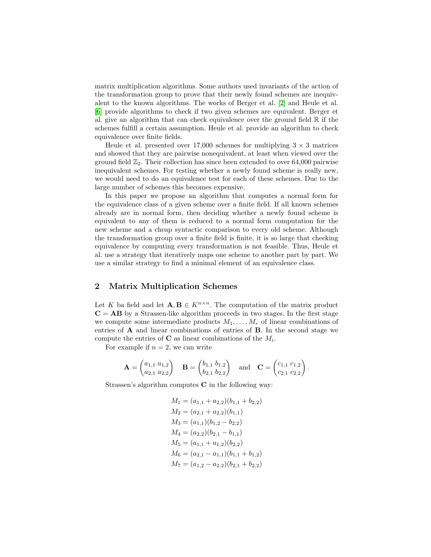matrix multiplication algorithms. Some authors used invariants of the action of the transformation group to prove that their newly found schemes are inequivalent to the known algorithms. The works of Berger et al. [\[2\]](#page-10-12) and Heule et al. [\[6\]](#page-10-11) provide algorithms to check if two given schemes are equivalent. Berger et al. give an algorithm that can check equivalence over the ground field  $\mathbb R$  if the schemes fulfill a certain assumption. Heule et al. provide an algorithm to check equivalence over finite fields.

Heule et al. presented over 17,000 schemes for multiplying  $3 \times 3$  matrices and showed that they are pairwise nonequivalent, at least when viewed over the ground field  $\mathbb{Z}_2$ . Their collection has since been extended to over 64,000 pairwise inequivalent schemes. For testing whether a newly found scheme is really new, we would need to do an equivalence test for each of these schemes. Due to the large number of schemes this becomes expensive.

In this paper we propose an algorithm that computes a normal form for the equivalence class of a given scheme over a finite field. If all known schemes already are in normal form, then deciding whether a newly found scheme is equivalent to any of them is reduced to a normal form computation for the new scheme and a cheap syntactic comparison to every old scheme. Although the transformation group over a finite field is finite, it is so large that checking equivalence by computing every transformation is not feasible. Thus, Heule et al. use a strategy that iteratively maps one scheme to another part by part. We use a similar strategy to find a minimal element of an equivalence class.

# 2 Matrix Multiplication Schemes

Let K ba field and let  $\mathbf{A}, \mathbf{B} \in K^{n \times n}$ . The computation of the matrix product  $C = AB$  by a Strassen-like algorithm proceeds in two stages. In the first stage we compute some intermediate products  $M_1, \ldots, M_r$  of linear combinations of entries of A and linear combinations of entries of B. In the second stage we compute the entries of  $C$  as linear combinations of the  $M_i$ .

For example if  $n = 2$ , we can write

$$
\mathbf{A} = \begin{pmatrix} a_{1,1} & a_{1,2} \\ a_{2,1} & a_{2,2} \end{pmatrix} \quad \mathbf{B} = \begin{pmatrix} b_{1,1} & b_{1,2} \\ b_{2,1} & b_{2,2} \end{pmatrix} \quad \text{and} \quad \mathbf{C} = \begin{pmatrix} c_{1,1} & c_{1,2} \\ c_{2,1} & c_{2,2} \end{pmatrix}.
$$

Strassen's algorithm computes C in the following way:

$$
M_1 = (a_{1,1} + a_{2,2})(b_{1,1} + b_{2,2})
$$
  
\n
$$
M_2 = (a_{2,1} + a_{2,2})(b_{1,1})
$$
  
\n
$$
M_3 = (a_{1,1})(b_{1,2} - b_{2,2})
$$
  
\n
$$
M_4 = (a_{2,2})(b_{2,1} - b_{1,1})
$$
  
\n
$$
M_5 = (a_{1,1} + a_{1,2})(b_{2,2})
$$
  
\n
$$
M_6 = (a_{2,1} - a_{1,1})(b_{1,1} + b_{1,2})
$$
  
\n
$$
M_7 = (a_{1,2} - a_{2,2})(b_{2,1} + b_{2,2})
$$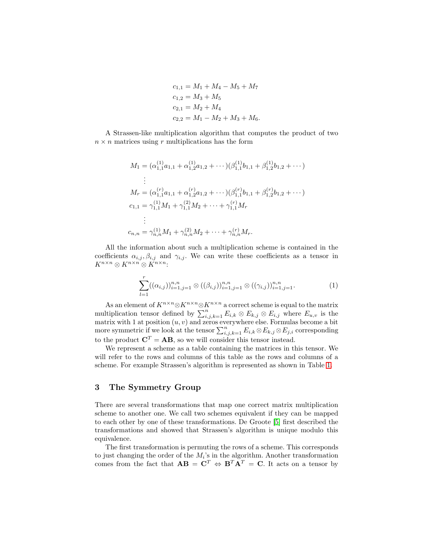$$
c_{1,1} = M_1 + M_4 - M_5 + M_7
$$
  
\n
$$
c_{1,2} = M_3 + M_5
$$
  
\n
$$
c_{2,1} = M_2 + M_4
$$
  
\n
$$
c_{2,2} = M_1 - M_2 + M_3 + M_6.
$$

A Strassen-like multiplication algorithm that computes the product of two  $n \times n$  matrices using r multiplications has the form

$$
M_1 = (\alpha_{1,1}^{(1)}a_{1,1} + \alpha_{1,2}^{(1)}a_{1,2} + \cdots)(\beta_{1,1}^{(1)}b_{1,1} + \beta_{1,2}^{(1)}b_{1,2} + \cdots)
$$
  
\n
$$
\vdots
$$
  
\n
$$
M_r = (\alpha_{1,1}^{(r)}a_{1,1} + \alpha_{1,2}^{(r)}a_{1,2} + \cdots)(\beta_{1,1}^{(r)}b_{1,1} + \beta_{1,2}^{(r)}b_{1,2} + \cdots)
$$
  
\n
$$
c_{1,1} = \gamma_{1,1}^{(1)}M_1 + \gamma_{1,1}^{(2)}M_2 + \cdots + \gamma_{1,1}^{(r)}M_r
$$
  
\n
$$
\vdots
$$
  
\n
$$
c_{n,n} = \gamma_{n,n}^{(1)}M_1 + \gamma_{n,n}^{(2)}M_2 + \cdots + \gamma_{n,n}^{(r)}M_r.
$$

All the information about such a multiplication scheme is contained in the coefficients  $\alpha_{i,j}, \beta_{i,j}$  and  $\gamma_{i,j}$ . We can write these coefficients as a tensor in  $K^{n\times n}\otimes K^{n\times n}\otimes K^{n\times n}$  :

<span id="page-2-0"></span>
$$
\sum_{l=1}^{r} ((\alpha_{i,j}))_{i=1,j=1}^{n,n} \otimes ((\beta_{i,j}))_{i=1,j=1}^{n,n} \otimes ((\gamma_{i,j}))_{i=1,j=1}^{n,n}.
$$
 (1)

As an element of  $K^{n\times n}\otimes K^{n\times n}\otimes K^{n\times n}$  a correct scheme is equal to the matrix multiplication tensor defined by  $\sum_{i,j,k=1}^{n} E_{i,k} \otimes E_{k,j} \otimes E_{i,j}$  where  $E_{u,v}$  is the matrix with 1 at position  $(u, v)$  and zeros everywhere else. Formulas become a bit more symmetric if we look at the tensor  $\sum_{i,j,k=1}^n E_{i,k} \otimes E_{k,j} \otimes E_{j,i}$  corresponding to the product  $\mathbf{C}^T = \mathbf{A}\mathbf{B}$ , so we will consider this tensor instead.

We represent a scheme as a table containing the matrices in this tensor. We will refer to the rows and columns of this table as the rows and columns of a scheme. For example Strassen's algorithm is represented as shown in Table [1.](#page-3-0)

## 3 The Symmetry Group

There are several transformations that map one correct matrix multiplication scheme to another one. We call two schemes equivalent if they can be mapped to each other by one of these transformations. De Groote [\[5\]](#page-10-3) first described the transformations and showed that Strassen's algorithm is unique modulo this equivalence.

The first transformation is permuting the rows of a scheme. This corresponds to just changing the order of the  $M_i$ 's in the algorithm. Another transformation comes from the fact that  $AB = C^T \Leftrightarrow B^T \tilde{A}^T = C$ . It acts on a tensor by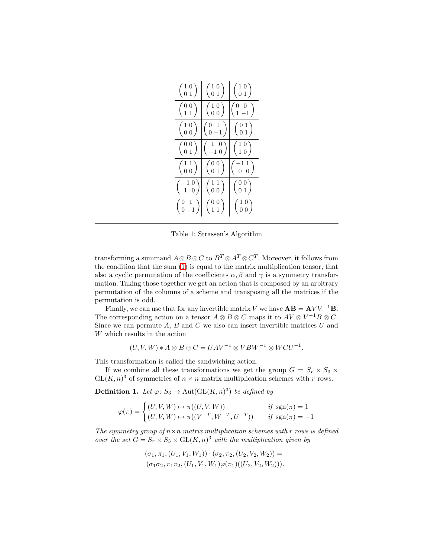<span id="page-3-0"></span>

| $\left(\begin{smallmatrix} 1 & 0 \ 0 & 1 \end{smallmatrix}\right)$  | $\binom{1\ 0}{0\ 1}$                                                | $\left(\begin{smallmatrix} 1 & 0 \\ 0 & 1 \end{smallmatrix}\right)$  |
|---------------------------------------------------------------------|---------------------------------------------------------------------|----------------------------------------------------------------------|
| $\left(\begin{smallmatrix} 0 & 0 \ 1 & 1 \end{smallmatrix}\right)$  | $\left(\begin{smallmatrix} 1 & 0 \\ 0 & 0 \end{smallmatrix}\right)$ | $\left(\begin{smallmatrix} 0 & 0 \\ 1 & -1 \end{smallmatrix}\right)$ |
| $\left(\begin{smallmatrix} 1 & 0 \\ 0 & 0 \end{smallmatrix}\right)$ | $\left(\begin{smallmatrix} 0 & 1 \\ 0 & - \end{smallmatrix}\right)$ | $\binom{0~1}{0~1}$                                                   |
| $\left(\begin{smallmatrix} 0 & 0 \ 0 & 1 \end{smallmatrix}\right)$  | $0^{\circ}$<br>$\begin{pmatrix} 1 & 0 \\ -1 & 0 \end{pmatrix}$      | $\binom{1\ 0}{1\ 0}$                                                 |
| $\left(\begin{smallmatrix} 1 & 1 \ 0 & 0 \end{smallmatrix}\right)$  | $\binom{0~0}{0~1}$                                                  | $\begin{pmatrix} -1 & 1 \\ 0 & 0 \end{pmatrix}$                      |
| $\left(\begin{smallmatrix} -1 & 0 \ 1 & 0 \end{smallmatrix}\right)$ | $\left(\begin{smallmatrix} 1 & 1 \ 0 & 0 \end{smallmatrix}\right)$  | $\left(\begin{smallmatrix} 0 & 0 \ 0 & 1 \end{smallmatrix}\right)$   |
| $\left(\begin{smallmatrix} 0 & 1\\ 0 & -1 \end{smallmatrix}\right)$ | $\left(\begin{smallmatrix} 0 & 0 \\ 1 & 1 \end{smallmatrix}\right)$ | $\left(\begin{smallmatrix} 1 & 0 \ 0 & 0 \end{smallmatrix}\right)$   |

Table 1: Strassen's Algorithm

transforming a summand  $A \otimes B \otimes C$  to  $B^T \otimes A^T \otimes C^T$ . Moreover, it follows from the condition that the sum [\(1\)](#page-2-0) is equal to the matrix multiplication tensor, that also a cyclic permutation of the coefficients  $\alpha$ ,  $\beta$  and  $\gamma$  is a symmetry transformation. Taking those together we get an action that is composed by an arbitrary permutation of the columns of a scheme and transposing all the matrices if the permutation is odd.

Finally, we can use that for any invertible matrix V we have  $AB = AVV^{-1}B$ . The corresponding action on a tensor  $A \otimes B \otimes C$  maps it to  $AV \otimes V^{-1}B \otimes C$ . Since we can permute  $A, B$  and  $C$  we also can insert invertible matrices  $U$  and W which results in the action

$$
(U, V, W) * A \otimes B \otimes C = UAV^{-1} \otimes VBW^{-1} \otimes WCU^{-1}.
$$

This transformation is called the sandwiching action.

If we combine all these transformations we get the group  $G = S_r \times S_3 \ltimes$  $GL(K, n)^3$  of symmetries of  $n \times n$  matrix multiplication schemes with r rows.

**Definition 1.** Let  $\varphi: S_3 \to \text{Aut}(\text{GL}(K,n)^3)$  be defined by

$$
\varphi(\pi) = \begin{cases} (U, V, W) \mapsto \pi((U, V, W)) & \text{if } \operatorname{sgn}(\pi) = 1 \\ (U, V, W) \mapsto \pi((V^{-T}, W^{-T}, U^{-T})) & \text{if } \operatorname{sgn}(\pi) = -1 \end{cases}
$$

*The symmetry group of* n×n *matrix multiplication schemes with* r *rows is defined over the set*  $G = S_r \times S_3 \times GL(K, n)^3$  *with the multiplication given by* 

$$
(\sigma_1, \pi_1, (U_1, V_1, W_1)) \cdot (\sigma_2, \pi_2, (U_2, V_2, W_2)) =
$$
  

$$
(\sigma_1 \sigma_2, \pi_1 \pi_2, (U_1, V_1, W_1) \varphi(\pi_1)((U_2, V_2, W_2))).
$$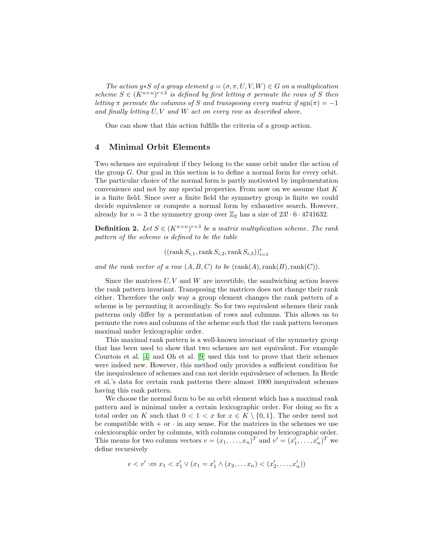*The action*  $g * S$  *of a group element*  $g = (\sigma, \pi, U, V, W) \in G$  *on a multiplication* scheme  $S \in (K^{n \times n})^{r \times 3}$  is defined by first letting  $\sigma$  permute the rows of S then *letting*  $\pi$  *permute the columns of* S *and transposing every matrix if* sgn( $\pi$ ) = −1 *and finally letting* U, V *and* W *act on every row as described above.*

One can show that this action fulfills the criteria of a group action.

#### 4 Minimal Orbit Elements

Two schemes are equivalent if they belong to the same orbit under the action of the group G. Our goal in this section is to define a normal form for every orbit. The particular choice of the normal form is partly motivated by implementation convenience and not by any special properties. From now on we assume that  $K$ is a finite field. Since over a finite field the symmetry group is finite we could decide equivalence or compute a normal form by exhaustive search. However, already for  $n = 3$  the symmetry group over  $\mathbb{Z}_2$  has a size of  $23! \cdot 6 \cdot 4741632$ .

**Definition 2.** Let  $S \in (K^{n \times n})^{r \times 3}$  be a matrix multiplication scheme. The rank *pattern of the scheme is defined to be the table*

 $((\text{rank } S_{i,1}, \text{rank } S_{i,2}, \text{rank } S_{i,3}))_{i=1}^r$ 

*and the rank vector of a row*  $(A, B, C)$  *to be*  $(rank(A), rank(B), rank(C)).$ 

Since the matrices  $U, V$  and  $W$  are invertible, the sandwiching action leaves the rank pattern invariant. Transposing the matrices does not change their rank either. Therefore the only way a group element changes the rank pattern of a scheme is by permuting it accordingly. So for two equivalent schemes their rank patterns only differ by a permutation of rows and columns. This allows us to permute the rows and columns of the scheme such that the rank pattern becomes maximal under lexicographic order.

This maximal rank pattern is a well-known invariant of the symmetry group that has been used to show that two schemes are not equivalent. For example Courtois et al. [\[4\]](#page-10-8) and Oh et al. [\[9\]](#page-10-9) used this test to prove that their schemes were indeed new. However, this method only provides a sufficient condition for the inequivalence of schemes and can not decide equivalence of schemes. In Heule et al.'s data for certain rank patterns there almost 1000 inequivalent schemes having this rank pattern.

We choose the normal form to be an orbit element which has a maximal rank pattern and is minimal under a certain lexicographic order. For doing so fix a total order on K such that  $0 < 1 < x$  for  $x \in K \setminus \{0, 1\}$ . The order need not be compatible with  $+$  or  $\cdot$  in any sense. For the matrices in the schemes we use colexicoraphic order by columns, with columns compared by lexicographic order. This means for two column vectors  $v = (x_1, \ldots, x_n)^T$  and  $v' = (x'_1, \ldots, x'_n)^T$  we define recursively

$$
v < v' : \Leftrightarrow x_1 < x_1' \lor (x_1 = x_1' \land (x_2, \dots x_n) < (x_2', \dots, x_n'))
$$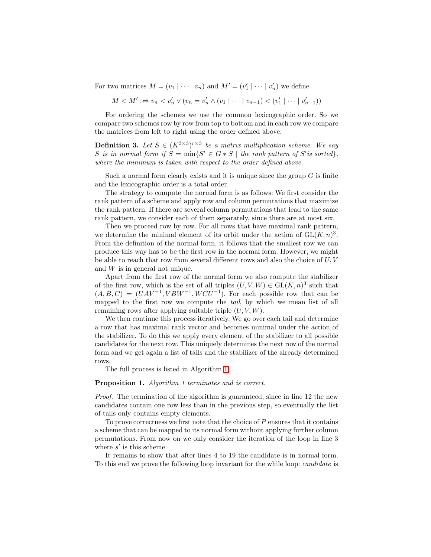For two matrices  $M = (v_1 \mid \cdots \mid v_n)$  and  $M' = (v'_1 \mid \cdots \mid v'_n)$  we define

 $M < M'$  :⇔  $v_n < v'_n \vee (v_n = v'_n \wedge (v_1 \mid \cdots \mid v_{n-1}) < (v'_1$  $\binom{1}{1} \cdots \binom{v'_{n-1}}{n}$ 

For ordering the schemes we use the common lexicographic order. So we compare two schemes row by row from top to bottom and in each row we compare the matrices from left to right using the order defined above.

**Definition 3.** Let  $S \in (K^{3\times3})^{r\times3}$  be a matrix multiplication scheme. We say S is in normal form if  $S = \min\{S' \in G * S \mid \text{the rank pattern of } S' \text{ is sorted}\},$ *where the minimum is taken with respect to the order defined above.*

Such a normal form clearly exists and it is unique since the group  $G$  is finite and the lexicographic order is a total order.

The strategy to compute the normal form is as follows: We first consider the rank pattern of a scheme and apply row and column permutations that maximize the rank pattern. If there are several column permutations that lead to the same rank pattern, we consider each of them separately, since there are at most six.

Then we proceed row by row. For all rows that have maximal rank pattern, we determine the minimal element of its orbit under the action of  $GL(K, n)<sup>3</sup>$ . From the definition of the normal form, it follows that the smallest row we can produce this way has to be the first row in the normal form. However, we might be able to reach that row from several different rows and also the choice of  $U, V$ and W is in general not unique.

Apart from the first row of the normal form we also compute the stabilizer of the first row, which is the set of all triples  $(U, V, W) \in GL(K, n)^3$  such that  $(A, B, C) = (UAV^{-1}, VBW^{-1}, WCU^{-1})$ . For each possible row that can be mapped to the first row we compute the *tail*, by which we mean list of all remaining rows after applying suitable triple  $(U, V, W)$ .

We then continue this process iteratively. We go over each tail and determine a row that has maximal rank vector and becomes minimal under the action of the stabilizer. To do this we apply every element of the stabilizer to all possible candidates for the next row. This uniquely determines the next row of the normal form and we get again a list of tails and the stabilizer of the already determined rows.

The full process is listed in Algorithm [1.](#page-6-0)

#### Proposition 1. *Algorithm 1 terminates and is correct.*

*Proof.* The termination of the algorithm is guaranteed, since in line 12 the new candidates contain one row less than in the previous step, so eventually the list of tails only contains empty elements.

To prove correctness we first note that the choice of  $P$  ensures that it contains a scheme that can be mapped to its normal form without applying further column permutations. From now on we only consider the iteration of the loop in line 3 where  $s'$  is this scheme.

It remains to show that after lines 4 to 19 the candidate is in normal form. To this end we prove the following loop invariant for the while loop: *candidate* is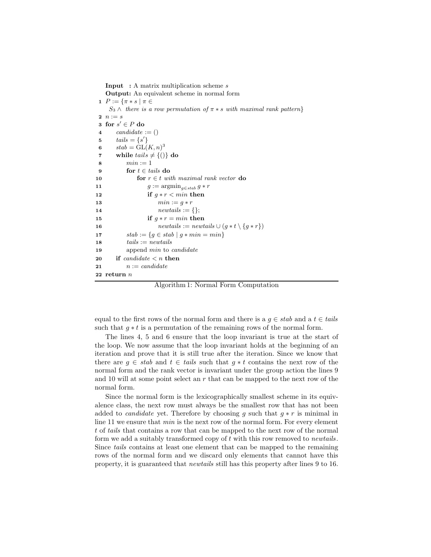<span id="page-6-0"></span>**Input** : A matrix multiplication scheme  $s$ Output: An equivalent scheme in normal form 1  $P := \{ \pi * s \mid \pi \in$  $S_3 \wedge$  there is a row permutation of  $\pi * s$  with maximal rank pattern} 2  $n := s$ 3 for  $s' \in P$  do 4 candidate  $:= ()$ 5  $tails = \{s'\}$ 6  $stab = GL(K, n)^3$ 7 while  $tails \neq \{()\}$  do 8  $min := 1$ 9 for  $t \in \text{tails}$  do 10 **for**  $r \in t$  with maximal rank vector **do** 11  $g := \operatorname{argmin}_{g \in \text{stab}} g * r$ 12 if  $q * r < min$  then 13  $min := q * r$ 14  $newtails := \{\};$ 15 if  $q * r = min$  then 16  $newtails := newtails \cup (g * t \setminus \{g * r\})$ 17  $stab := \{ g \in stab \mid g * min = min \}$ 18  $tails := new tails$ 19 append *min* to *candidate* 20 if candidate  $\lt n$  then 21  $n := candidate$ 22 return  $n$ 

Algorithm 1: Normal Form Computation

equal to the first rows of the normal form and there is a  $q \in stab$  and a  $t \in tails$ such that  $g * t$  is a permutation of the remaining rows of the normal form.

The lines 4, 5 and 6 ensure that the loop invariant is true at the start of the loop. We now assume that the loop invariant holds at the beginning of an iteration and prove that it is still true after the iteration. Since we know that there are  $g \in stab$  and  $t \in tails$  such that  $g * t$  contains the next row of the normal form and the rank vector is invariant under the group action the lines 9 and 10 will at some point select an  $r$  that can be mapped to the next row of the normal form.

Since the normal form is the lexicographically smallest scheme in its equivalence class, the next row must always be the smallest row that has not been added to *candidate* yet. Therefore by choosing g such that  $g * r$  is minimal in line 11 we ensure that *min* is the next row of the normal form. For every element t of *tails* that contains a row that can be mapped to the next row of the normal form we add a suitably transformed copy of t with this row removed to *newtails*. Since *tails* contains at least one element that can be mapped to the remaining rows of the normal form and we discard only elements that cannot have this property, it is guaranteed that *newtails* still has this property after lines 9 to 16.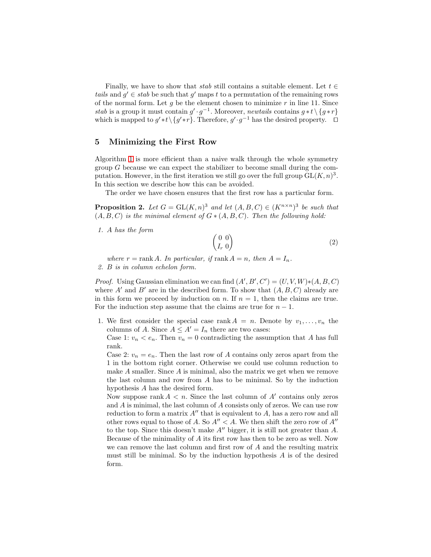Finally, we have to show that *stab* still contains a suitable element. Let  $t \in$ *tails* and  $g' \in stab$  be such that g' maps t to a permutation of the remaining rows of the normal form. Let  $g$  be the element chosen to minimize  $r$  in line 11. Since *stab* is a group it must contain  $g' \cdot g^{-1}$ . Moreover, *newtails* contains  $g * t \setminus \{g * r\}$ which is mapped to  $g' * t \setminus \{g' * r\}$ . Therefore,  $g' \cdot g^{-1}$  has the desired property.  $\Box$ 

## 5 Minimizing the First Row

Algorithm [1](#page-6-0) is more efficient than a naive walk through the whole symmetry group G because we can expect the stabilizer to become small during the computation. However, in the first iteration we still go over the full group  $GL(K, n)^3$ . In this section we describe how this can be avoided.

<span id="page-7-0"></span>The order we have chosen ensures that the first row has a particular form.

**Proposition 2.** Let  $G = GL(K, n)^3$  and let  $(A, B, C) \in (K^{n \times n})^3$  be such that  $(A, B, C)$  *is the minimal element of*  $G * (A, B, C)$ *. Then the following hold:* 

*1.* A *has the form*

<span id="page-7-1"></span>
$$
\begin{pmatrix} 0 & 0 \\ I_r & 0 \end{pmatrix} \tag{2}
$$

*where*  $r = \text{rank } A$ *. In particular, if*  $\text{rank } A = n$ *, then*  $A = I_n$ *. 2.* B *is in column echelon form.*

*Proof.* Using Gaussian elimination we can find  $(A', B', C') = (U, V, W) * (A, B, C)$ where  $A'$  and  $B'$  are in the described form. To show that  $(A, B, C)$  already are in this form we proceed by induction on n. If  $n = 1$ , then the claims are true. For the induction step assume that the claims are true for  $n - 1$ .

1. We first consider the special case rank  $A = n$ . Denote by  $v_1, \ldots, v_n$  the columns of A. Since  $A \leq A' = I_n$  there are two cases:

Case 1:  $v_n < e_n$ . Then  $v_n = 0$  contradicting the assumption that A has full rank.

Case 2:  $v_n = e_n$ . Then the last row of A contains only zeros apart from the 1 in the bottom right corner. Otherwise we could use column reduction to make  $A$  smaller. Since  $A$  is minimal, also the matrix we get when we remove the last column and row from A has to be minimal. So by the induction hypothesis A has the desired form.

Now suppose rank  $A < n$ . Since the last column of  $A'$  contains only zeros and  $A$  is minimal, the last column of  $A$  consists only of zeros. We can use row reduction to form a matrix  $A''$  that is equivalent to  $A$ , has a zero row and all other rows equal to those of A. So  $A'' < A$ . We then shift the zero row of  $A''$ to the top. Since this doesn't make A′′ bigger, it is still not greater than A. Because of the minimality of A its first row has then to be zero as well. Now we can remove the last column and first row of A and the resulting matrix must still be minimal. So by the induction hypothesis  $A$  is of the desired form.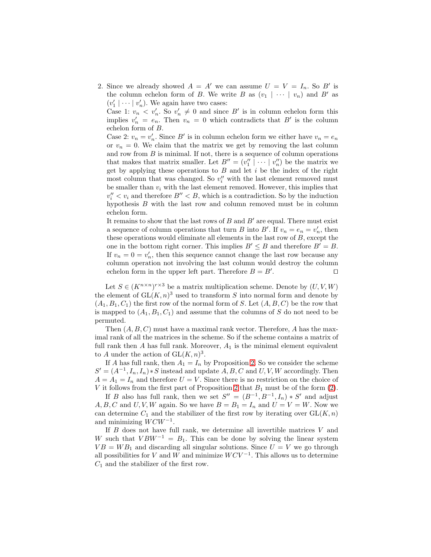2. Since we already showed  $A = A'$  we can assume  $U = V = I_n$ . So B' is the column echelon form of B. We write B as  $(v_1 \mid \cdots \mid v_n)$  and B' as  $(v'_1 | \cdots | v'_n)$ . We again have two cases:

Case 1:  $v_n < v'_n$ . So  $v'_n \neq 0$  and since B' is in column echelon form this implies  $v'_n = e_n$ . Then  $v_n = 0$  which contradicts that B' is the column echelon form of B.

Case 2:  $v_n = v'_n$ . Since B' is in column echelon form we either have  $v_n = e_n$ or  $v_n = 0$ . We claim that the matrix we get by removing the last column and row from  $B$  is minimal. If not, there is a sequence of column operations that makes that matrix smaller. Let  $B'' = (v''_1 \mid \cdots \mid v''_n)$  be the matrix we get by applying these operations to  $B$  and let  $i$  be the index of the right most column that was changed. So  $v''_i$  with the last element removed must be smaller than  $v_i$  with the last element removed. However, this implies that  $v''_i < v_i$  and therefore  $B'' < B$ , which is a contradiction. So by the induction hypothesis  $B$  with the last row and column removed must be in column echelon form.

It remains to show that the last rows of  $B$  and  $B'$  are equal. There must exist a sequence of column operations that turn B into B'. If  $v_n = e_n = v'_n$ , then these operations would eliminate all elements in the last row of  $B$ , except the one in the bottom right corner. This implies  $B' \leq B$  and therefore  $B' = B$ . If  $v_n = 0 = v'_n$ , then this sequence cannot change the last row because any column operation not involving the last column would destroy the column echelon form in the upper left part. Therefore  $B = B'$ . . ⊓⊔

Let  $S \in (K^{n \times n})^{r \times 3}$  be a matrix multiplication scheme. Denote by  $(U, V, W)$ the element of  $GL(K, n)^3$  used to transform S into normal form and denote by  $(A_1, B_1, C_1)$  the first row of the normal form of S. Let  $(A, B, C)$  be the row that is mapped to  $(A_1, B_1, C_1)$  and assume that the columns of S do not need to be permuted.

Then  $(A, B, C)$  must have a maximal rank vector. Therefore, A has the maximal rank of all the matrices in the scheme. So if the scheme contains a matrix of full rank then A has full rank. Moreover,  $A_1$  is the minimal element equivalent to A under the action of  $GL(K,n)^3$ .

If A has full rank, then  $A_1 = I_n$  by Proposition [2.](#page-7-0) So we consider the scheme  $S' = (A^{-1}, I_n, I_n) * S$  instead and update  $\overline{A}, B, C$  and  $U, V, W$  accordingly. Then  $A = A_1 = I_n$  and therefore  $U = V$ . Since there is no restriction on the choice of V it follows from the first part of Proposition [2](#page-7-0) that  $B_1$  must be of the form [\(2\)](#page-7-1).

If B also has full rank, then we set  $S'' = (B^{-1}, B^{-1}, I_n) * S'$  and adjust  $A, B, C$  and  $U, V, W$  again. So we have  $B = B_1 = I_n$  and  $U = V = W$ . Now we can determine  $C_1$  and the stabilizer of the first row by iterating over  $GL(K, n)$ and minimizing  $WCW^{-1}$ .

If  $B$  does not have full rank, we determine all invertible matrices  $V$  and W such that  $V B W^{-1} = B_1$ . This can be done by solving the linear system  $VB = WB_1$  and discarding all singular solutions. Since  $U = V$  we go through all possibilities for V and W and minimize  $WCV^{-1}$ . This allows us to determine  $C_1$  and the stabilizer of the first row.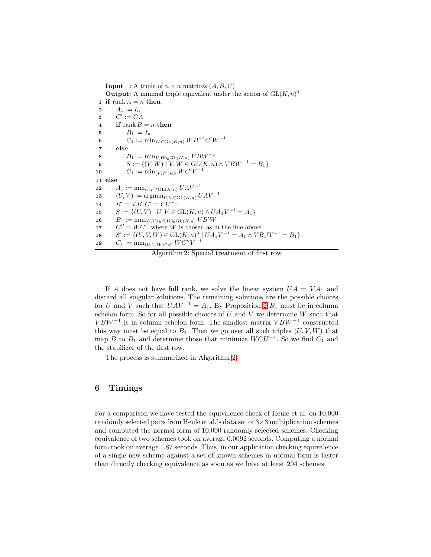<span id="page-9-0"></span>**Input** : A triple of  $n \times n$  matrices  $(A, B, C)$ **Output:** A minimal triple equivalent under the action of  $GL(K, n)^3$ 1 if rank  $A = n$  then 2  $A_1 := I_n$ 3  $C' := CA$ 4 if rank  $B = n$  then 5  $B_1 := I_n$ 6  $C_1 := \min_{W \in \text{GL}(K,n)} W B^{-1} C' W^{-1}$ 7 else 8  $B_1 := \min_{V, W \in GL(K,n)} V B W^{-1}$ 9  $S := \{(V, W) \mid V, W \in GL(K, n) \land VBW^{-1} = B_1\}$ 10  $C_1 := \min_{(V,W) \in S} WC'V^{-1}$ 11 else 12  $A_1 := \min_{U, V \in GL(K,n)} UAV^{-1}$ 13  $(U, V) := \operatorname{argmin}_{U, V \in \text{GL}(K,n)} UAV^{-1}$ 14  $B' = VB; C' = CU^{-1}$ 15  $S := \{(U, V) | U, V \in GL(K, n) \wedge UA_1V^{-1} = A_1\}$ 16  $B_1 := \min_{(U,V) \in S, W \in GL(K,n)} VB'W^{-1}$ 17  $C'' = WC'$ , where W is chosen as in the line above **18**  $\mathcal{U} := \{ (U, V, W) \in \text{GL}(K, n)^3 \mid U A_1 V^{-1} = A_1 \wedge V B_1 W^{-1} = B_1 \}$ 19  $C_1 := \min_{(U, V, W) \in S'} WC''V^{-1}$ 

Algorithm 2: Special treatment of first row

If A does not have full rank, we solve the linear system  $UA = VA_1$  and discard all singular solutions. The remaining solutions are the possible choices for U and V such that  $UAV^{-1} = A_1$ . By Proposition [2](#page-7-0)  $B_1$  must be in column echelon form. So for all possible choices of  $U$  and  $V$  we determine  $W$  such that  $VBW^{-1}$  is in column echelon form. The smallest matrix  $VBW^{-1}$  constructed this way must be equal to  $B_1$ . Then we go over all such triples  $(U, V, W)$  that map B to  $B_1$  and determine those that minimize  $WCU^{-1}$ . So we find  $C_1$  and the stabilizer of the first row.

The process is summarized in Algorithm [2.](#page-9-0)

## 6 Timings

For a comparison we have tested the equivalence check of Heule et al. on 10,000 randomly selected pairs from Heule et al.'s data set of 3×3 multiplication schemes and computed the normal form of 10,000 randomly selected schemes. Checking equivalence of two schemes took on average 0.0092 seconds. Computing a normal form took on average 1.87 seconds. Thus, in our application checking equivalence of a single new scheme against a set of known schemes in normal form is faster than directly checking equivalence as soon as we have at least 204 schemes.